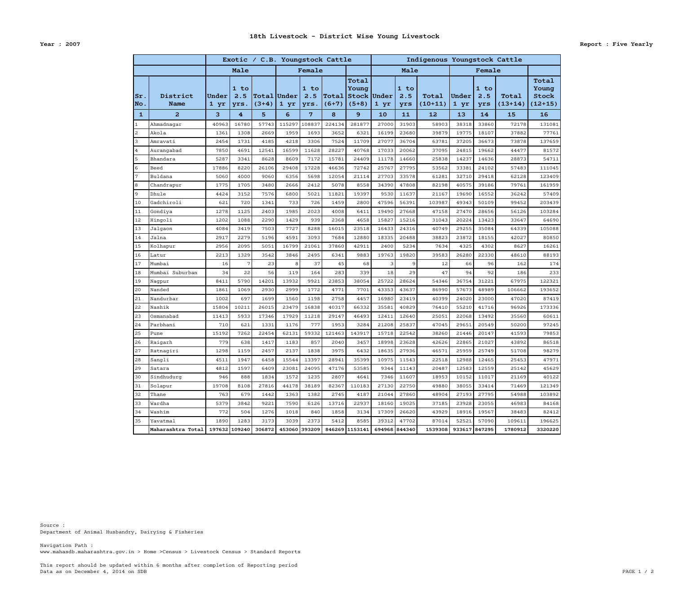Data as on December 4, 2014 on SDB PAGE 1 / 2 This report should be updated within 6 months after completion of Reporting period

www.mahasdb.maharashtra.gov.in > Home >Census > Livestock Census > Standard Reports Navigation Path :

Department of Animal Husbandry, Dairying & Fisheries Source :

|                           |                         |               |                     |                                        | Exotic / C.B. Youngstock Cattle |                     |                         |                                          | Indigenous Youngstock Cattle |                    |                    |               |                    |                    |                                             |
|---------------------------|-------------------------|---------------|---------------------|----------------------------------------|---------------------------------|---------------------|-------------------------|------------------------------------------|------------------------------|--------------------|--------------------|---------------|--------------------|--------------------|---------------------------------------------|
|                           |                         | Male          |                     |                                        | Female                          |                     |                         |                                          | Male                         |                    |                    | Female        |                    |                    |                                             |
| $ {\rm Sr}$ .<br>$ $ No . | District<br><b>Name</b> | Under<br>1 yr | 1 to<br>2.5<br>yrs. | $ {\tt Total} {\tt Under} $<br>$(3+4)$ | 1 yr                            | 1 to<br>2.5<br>yrs. | <b>Total</b><br>$(6+7)$ | Total<br>Young<br>Stock Under<br>$(5+8)$ | 1 yr                         | 1 to<br>2.5<br>yrs | Total<br>$(10+11)$ | Under<br>1 yr | 1 to<br>2.5<br>yrs | Total<br>$(13+14)$ | Total<br>Young<br><b>Stock</b><br>$(12+15)$ |
| $\mathbf{1}$              | $\overline{a}$          | 3             | $\overline{4}$      | 5                                      | 6                               | 7                   | 8                       | 9                                        | 10                           | 11                 | 12                 | 13            | 14                 | 15                 | 16                                          |
| $\mathbf{1}$              | Ahmadnagar              | 40963         | 16780               | 57743                                  | 115297                          | 108837              | 224134                  | 281877                                   | 27000                        | 31903              | 58903              | 38318         | 33860              | 72178              | 131081                                      |
| 2                         | Akola                   | 1361          | 1308                | 2669                                   | 1959                            | 1693                | 3652                    | 6321                                     | 16199                        | 23680              | 39879              | 19775         | 18107              | 37882              | 77761                                       |
| 3                         | Amravati                | 2454          | 1731                | 4185                                   | 4218                            | 3306                | 7524                    | 11709                                    | 27077                        | 36704              | 63781              | 37205         | 36673              | 73878              | 137659                                      |
| $\overline{4}$            | Aurangabad              | 7850          | 4691                | 12541                                  | 16599                           | 11628               | 28227                   | 40768                                    | 17033                        | 20062              | 37095              | 24815         | 19662              | 44477              | 81572                                       |
| 5                         | Bhandara                | 5287          | 3341                | 8628                                   | 8609                            | 7172                | 15781                   | 24409                                    | 11178                        | 14660              | 25838              | 14237         | 14636              | 28873              | 54711                                       |
| 6                         | Beed                    | 17886         | 8220                | 26106                                  | 29408                           | 17228               | 46636                   | 72742                                    | 25767                        | 27795              | 53562              | 33381         | 24102              | 57483              | 111045                                      |
| $7\phantom{.0}$           | Buldana                 | 5060          | 4000                | 9060                                   | 6356                            | 5698                | 12054                   | 21114                                    | 27703                        | 33578              | 61281              | 32710         | 29418              | 62128              | 123409                                      |
| 8                         | Chandrapur              | 1775          | 1705                | 3480                                   | 2666                            | 2412                | 5078                    | 8558                                     | 34390                        | 47808              | 82198              | 40575         | 39186              | 79761              | 161959                                      |
| 9                         | Dhule                   | 4424          | 3152                | 7576                                   | 6800                            | 5021                | 11821                   | 19397                                    | 9530                         | 11637              | 21167              | 19690         | 16552              | 36242              | 57409                                       |
| 10                        | Gadchiroli              | 621           | 720                 | 1341                                   | 733                             | 726                 | 1459                    | 2800                                     | 47596                        | 56391              | 103987             | 49343         | 50109              | 99452              | 203439                                      |
| 11                        | Gondiya                 | 1278          | 1125                | 2403                                   | 1985                            | 2023                | 4008                    | 6411                                     | 19490                        | 27668              | 47158              | 27470         | 28656              | 56126              | 103284                                      |
| 12                        | Hingoli                 | 1202          | 1088                | 2290                                   | 1429                            | 939                 | 2368                    | 4658                                     | 15827                        | 15216              | 31043              | 20224         | 13423              | 33647              | 64690                                       |
| 13                        | Jalgaon                 | 4084          | 3419                | 7503                                   | 7727                            | 8288                | 16015                   | 23518                                    | 16433                        | 24316              | 40749              | 29255         | 35084              | 64339              | 105088                                      |
| 14                        | Jalna                   | 2917          | 2279                | 5196                                   | 4591                            | 3093                | 7684                    | 12880                                    | 18335                        | 20488              | 38823              | 23872         | 18155              | 42027              | 80850                                       |
| 15                        | Kolhapur                | 2956          | 2095                | 5051                                   | 16799                           | 21061               | 37860                   | 42911                                    | 2400                         | 5234               | 7634               | 4325          | 4302               | 8627               | 16261                                       |
| 16                        | Latur                   | 2213          | 1329                | 3542                                   | 3846                            | 2495                | 6341                    | 9883                                     | 19763                        | 19820              | 39583              | 26280         | 22330              | 48610              | 88193                                       |
| 17                        | Mumbai                  | 16            | 7                   | 23                                     | 8                               | 37                  | 45                      | 68                                       | 3                            | 9                  | 12                 | 66            | 96                 | 162                | 174                                         |
| 18                        | Mumbai Suburban         | 34            | 22                  | 56                                     | 119                             | 164                 | 283                     | 339                                      | 18                           | 29                 | 47                 | 94            | 92                 | 186                | 233                                         |
| 19                        | Nagpur                  | 8411          | 5790                | 14201                                  | 13932                           | 9921                | 23853                   | 38054                                    | 25722                        | 28624              | 54346              | 36754         | 31221              | 67975              | 122321                                      |
| 20                        | Nanded                  | 1861          | 1069                | 2930                                   | 2999                            | 1772                | 4771                    | 7701                                     | 43353                        | 43637              | 86990              | 57673         | 48989              | 106662             | 193652                                      |
| 21                        | Nandurbar               | 1002          | 697                 | 1699                                   | 1560                            | 1198                | 2758                    | 4457                                     | 16980                        | 23419              | 40399              | 24020         | 23000              | 47020              | 87419                                       |
| 22                        | Nashik                  | 15804         | 10211               | 26015                                  | 23479                           | 16838               | 40317                   | 66332                                    | 35581                        | 40829              | 76410              | 55210         | 41716              | 96926              | 173336                                      |
| 23                        | Osmanabad               | 11413         | 5933                | 17346                                  | 17929                           | 11218               | 29147                   | 46493                                    | 12411                        | 12640              | 25051              | 22068         | 13492              | 35560              | 60611                                       |
| 24                        | Parbhani                | 710           | 621                 | 1331                                   | 1176                            | 777                 | 1953                    | 3284                                     | 21208                        | 25837              | 47045              | 29651         | 20549              | 50200              | 97245                                       |
| 25                        | Pune                    | 15192         | 7262                | 22454                                  | 62131                           | 59332               | 121463                  | 143917                                   | 15718                        | 22542              | 38260              | 21446         | 20147              | 41593              | 79853                                       |
| 26                        | Raigarh                 | 779           | 638                 | 1417                                   | 1183                            | 857                 | 2040                    | 3457                                     | 18998                        | 23628              | 42626              | 22865         | 21027              | 43892              | 86518                                       |
| 27                        | Ratnagiri               | 1298          | 1159                | 2457                                   | 2137                            | 1838                | 3975                    | 6432                                     | 18635                        | 27936              | 46571              | 25959         | 25749              | 51708              | 98279                                       |
| 28                        | Sangli                  | 4511          | 1947                | 6458                                   | 15544                           | 13397               | 28941                   | 35399                                    | 10975                        | 11543              | 22518              | 12988         | 12465              | 25453              | 47971                                       |
| 29                        | Satara                  | 4812          | 1597                | 6409                                   | 23081                           | 24095               | 47176                   | 53585                                    | 9344                         | 11143              | 20487              | 12583         | 12559              | 25142              | 45629                                       |
| 30                        | Sindhudurg              | 946           | 888                 | 1834                                   | 1572                            | 1235                | 2807                    | 4641                                     | 7346                         | 11607              | 18953              | 10152         | 11017              | 21169              | 40122                                       |
| 31                        | Solapur                 | 19708         | 8108                | 27816                                  | 44178                           | 38189               | 82367                   | 110183                                   | 27130                        | 22750              | 49880              | 38055         | 33414              | 71469              | 121349                                      |
| 32                        | Thane                   | 763           | 679                 | 1442                                   | 1363                            | 1382                | 2745                    | 4187                                     | 21044                        | 27860              | 48904              | 27193         | 27795              | 54988              | 103892                                      |
| 33                        | Wardha                  | 5379          | 3842                | 9221                                   | 7590                            | 6126                | 13716                   | 22937                                    | 18160                        | 19025              | 37185              | 23928         | 23055              | 46983              | 84168                                       |
| 34                        | Washim                  | 772           | 504                 | 1276                                   | 1018                            | 840                 | 1858                    | 3134                                     | 17309                        | 26620              | 43929              | 18916         | 19567              | 38483              | 82412                                       |
| 35                        | Yavatmal                | 1890          | 1283                | 3173                                   | 3039                            | 2373                | 5412                    | 8585                                     | 39312                        | 47702              | 87014              | 52521         | 57090              | 109611             | 196625                                      |
|                           | Maharashtra Total       |               |                     | 197632 109240 306872 453060 393209     |                                 |                     |                         | 846269 1153141                           | 694968 844340                |                    | 1539308            | 933617 847295 |                    | 1780912            | 3320220                                     |